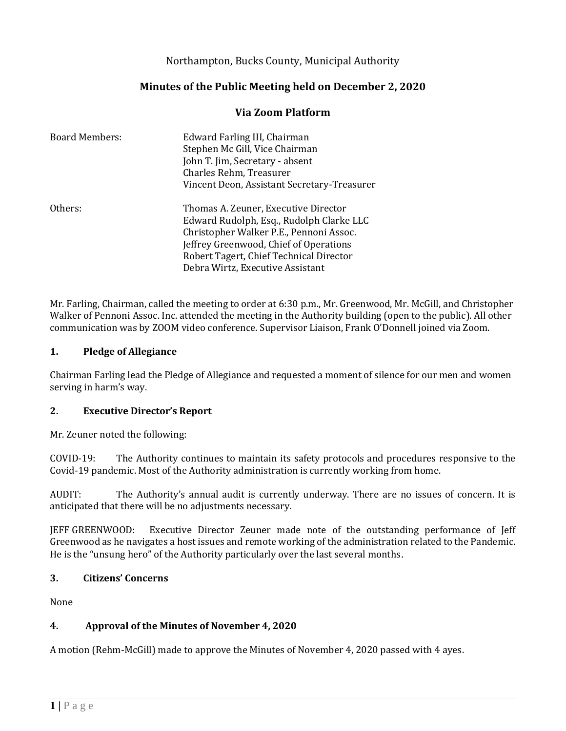## Northampton, Bucks County, Municipal Authority

# **Minutes of the Public Meeting held on December 2, 2020**

### **Via Zoom Platform**

| <b>Board Members:</b> | Edward Farling III, Chairman<br>Stephen Mc Gill, Vice Chairman<br>John T. Jim, Secretary - absent<br>Charles Rehm, Treasurer                                     |
|-----------------------|------------------------------------------------------------------------------------------------------------------------------------------------------------------|
| Others:               | Vincent Deon, Assistant Secretary-Treasurer<br>Thomas A. Zeuner, Executive Director<br>Edward Rudolph, Esq., Rudolph Clarke LLC                                  |
|                       | Christopher Walker P.E., Pennoni Assoc.<br>Jeffrey Greenwood, Chief of Operations<br>Robert Tagert, Chief Technical Director<br>Debra Wirtz, Executive Assistant |

Mr. Farling, Chairman, called the meeting to order at 6:30 p.m., Mr. Greenwood, Mr. McGill, and Christopher Walker of Pennoni Assoc. Inc. attended the meeting in the Authority building (open to the public). All other communication was by ZOOM video conference. Supervisor Liaison, Frank O'Donnell joined via Zoom.

#### **1. Pledge of Allegiance**

Chairman Farling lead the Pledge of Allegiance and requested a moment of silence for our men and women serving in harm's way.

#### **2. Executive Director's Report**

Mr. Zeuner noted the following:

COVID-19: The Authority continues to maintain its safety protocols and procedures responsive to the Covid-19 pandemic. Most of the Authority administration is currently working from home.

AUDIT: The Authority's annual audit is currently underway. There are no issues of concern. It is anticipated that there will be no adjustments necessary.

JEFF GREENWOOD: Executive Director Zeuner made note of the outstanding performance of Jeff Greenwood as he navigates a host issues and remote working of the administration related to the Pandemic. He is the "unsung hero" of the Authority particularly over the last several months.

#### **3. Citizens' Concerns**

None

#### **4. Approval of the Minutes of November 4, 2020**

A motion (Rehm-McGill) made to approve the Minutes of November 4, 2020 passed with 4 ayes.